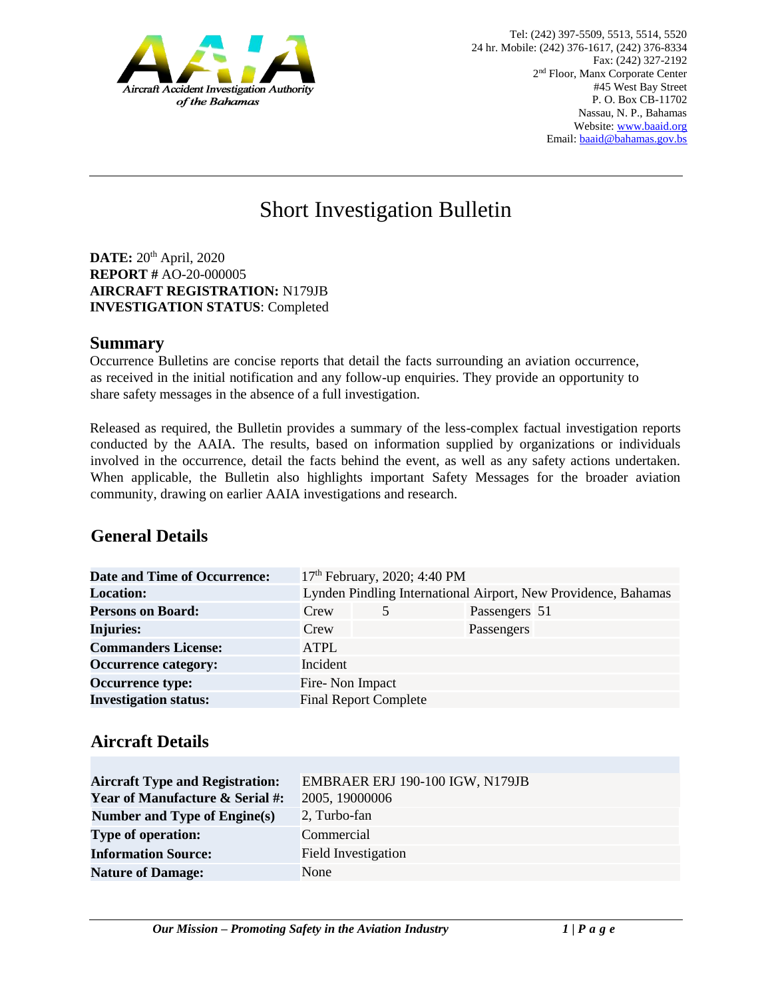

# Short Investigation Bulletin

**DATE:** 20<sup>th</sup> April, 2020 **REPORT #** AO-20-000005 **AIRCRAFT REGISTRATION:** N179JB **INVESTIGATION STATUS**: Completed

#### **Summary**

Occurrence Bulletins are concise reports that detail the facts surrounding an aviation occurrence, as received in the initial notification and any follow-up enquiries. They provide an opportunity to share safety messages in the absence of a full investigation*.* 

Released as required, the Bulletin provides a summary of the less-complex factual investigation reports conducted by the AAIA. The results, based on information supplied by organizations or individuals involved in the occurrence, detail the facts behind the event, as well as any safety actions undertaken. When applicable, the Bulletin also highlights important Safety Messages for the broader aviation community, drawing on earlier AAIA investigations and research.

# **General Details**

| <b>Date and Time of Occurrence:</b> |                                                                | 17th February, 2020; 4:40 PM |               |  |
|-------------------------------------|----------------------------------------------------------------|------------------------------|---------------|--|
| <b>Location:</b>                    | Lynden Pindling International Airport, New Providence, Bahamas |                              |               |  |
| <b>Persons on Board:</b>            | Crew                                                           |                              | Passengers 51 |  |
| <b>Injuries:</b>                    | Crew                                                           |                              | Passengers    |  |
| <b>Commanders License:</b>          | ATPL                                                           |                              |               |  |
| <b>Occurrence category:</b>         | Incident                                                       |                              |               |  |
| <b>Occurrence type:</b>             | Fire-Non Impact                                                |                              |               |  |
| <b>Investigation status:</b>        |                                                                | <b>Final Report Complete</b> |               |  |

## **Aircraft Details**

| <b>Aircraft Type and Registration:</b><br><b>Year of Manufacture &amp; Serial #:</b> | EMBRAER ERJ 190-100 IGW, N179JB<br>2005, 19000006 |
|--------------------------------------------------------------------------------------|---------------------------------------------------|
| Number and Type of Engine(s)                                                         | 2, Turbo-fan                                      |
| <b>Type of operation:</b>                                                            | Commercial                                        |
| <b>Information Source:</b>                                                           | <b>Field Investigation</b>                        |
| <b>Nature of Damage:</b>                                                             | None                                              |